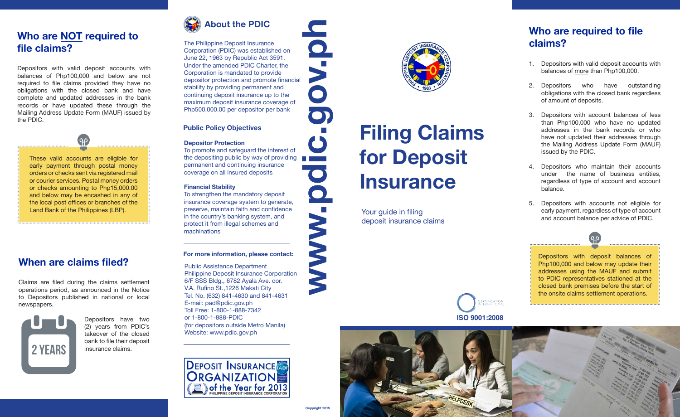### **Who are NOT required to file claims?**

Depositors with valid deposit accounts with balances of Php100,000 and below are not required to file claims provided they have no obligations with the closed bank and have complete and updated addresses in the bank records or have updated these through the Mailing Address Update Form (MAUF) issued by the PDIC.



These valid accounts are eligible for early payment through postal money orders or checks sent via registered mail or courier services. Postal money orders or checks amounting to Php15,000.00 and below may be encashed in any of the local post offices or branches of the Land Bank of the Philippines (LBP).

# **When are claims filed?**

Claims are filed during the claims settlement operations period, as announced in the Notice to Depositors published in national or local newspapers.



Depositors have two (2) years from PDIC's takeover of the closed bank to file their deposit insurance claims.



The Philippine Deposit Insurance Corporation (PDIC) was established on June 22, 1963 by Republic Act 3591. Under the amended PDIC Charter, the Corporation is mandated to provide depositor protection and promote financial stability by providing permanent and continuing deposit insurance up to the maximum deposit insurance coverage of Php500,000.00 per depositor per bank

#### **Public Policy Objectives**

#### **Depositor Protection**

To promote and safeguard the interest of the depositing public by way of providing permanent and continuing insurance coverage on all insured deposits

#### **Financial Stability**

To strengthen the mandatory deposit insurance coverage system to generate, preserve, maintain faith and confidence in the country's banking system, and protect it from illegal schemes and machinations

#### **For more information, please contact:**

Public Assistance Department Philippine Deposit Insurance Corporation 6/F SSS Bldg., 6782 Ayala Ave. cor. V.A. Rufino St.,1226 Makati City Tel. No. (632) 841-4630 and 841-4631 E-mail: pad@pdic.gov.ph Toll Free: 1-800-1-888-7342 or 1-800-1-888-PDIC (for depositors outside Metro Manila) Website: www.pdic.gov.ph



**Copyright 2015**



# **www.pdic.gov.ph Filing Claims for Deposit Insurance**

Your guide in filing deposit insurance claims

# **Who are required to file claims?**

- 1. Depositors with valid deposit accounts with balances of more than Php100,000.
- 2. Depositors who have outstanding obligations with the closed bank regardless of amount of deposits.
- 3. Depositors with account balances of less than Php100,000 who have no updated addresses in the bank records or who have not updated their addresses through the Mailing Address Update Form (MAUF) issued by the PDIC.
- 4. Depositors who maintain their accounts under the name of business entities, regardless of type of account and account balance.
- 5. Depositors with accounts not eligible for early payment, regardless of type of account and account balance per advice of PDIC.

്റ റ

Depositors with deposit balances of Php100,000 and below may update their addresses using the MAUF and submit to PDIC representatives stationed at the closed bank premises before the start of the onsite claims settlement operations.